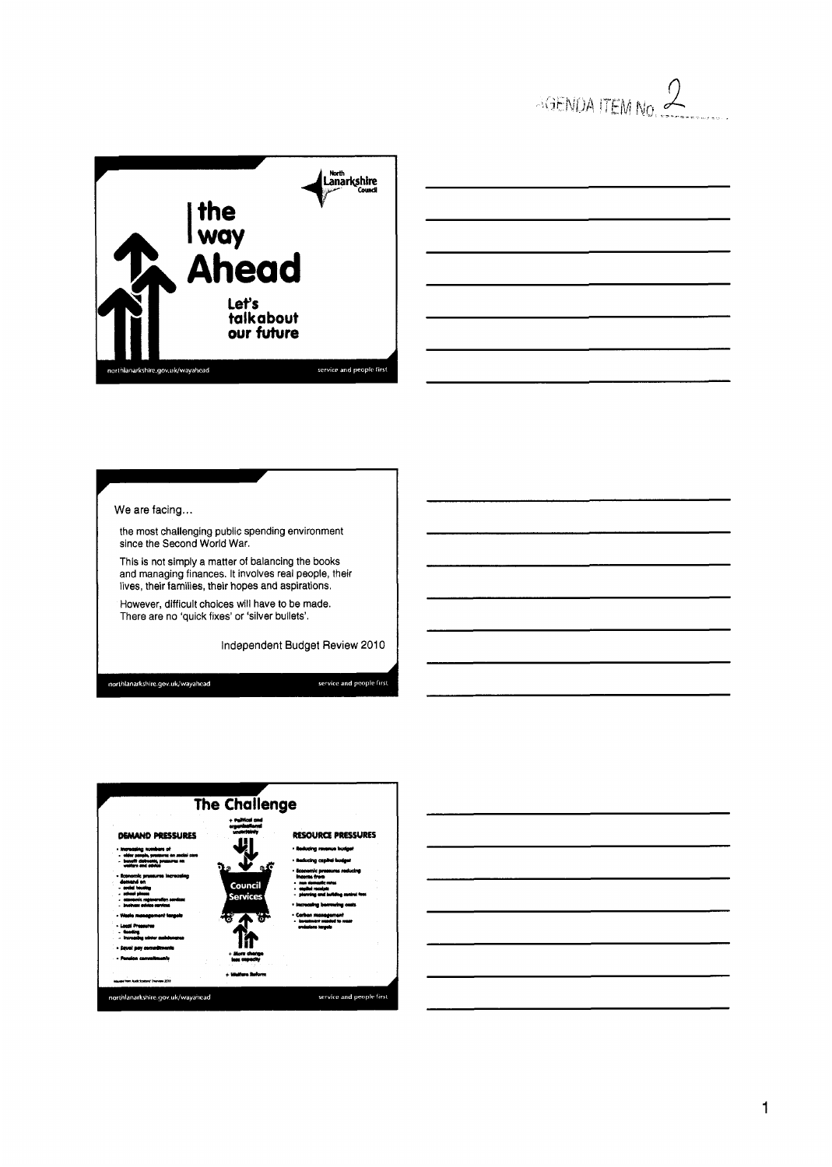

| <u> 1989 - John Harry Harry Harry Harry Harry Harry Harry Harry Harry Harry Harry Harry Harry Harry Harry Harry H</u>   |      |  |
|-------------------------------------------------------------------------------------------------------------------------|------|--|
|                                                                                                                         |      |  |
|                                                                                                                         | ____ |  |
|                                                                                                                         |      |  |
| <u> Andrews Andrews Andrews Andrews Andrews Andrews Andrews Andrews Andrews Andrews Andrews Andrews Andrews Andrew</u>  |      |  |
| <u>s a componente do control de la componente de la componente de la componente de la componente de la componente d</u> |      |  |

We are facing...

the most challenging public spending environment since the Second World War.

This is not simply a matter of balancing the books and managing finances. It involves real people, their lives, their families, their hopes and aspirations.

I **1** 

However, difficult choices will have to be made. There are no 'quick fixes' or 'silver bullets'.

Independent Budget Review 2010

northlanarkshire.gov.uk/wayahead

service and people first



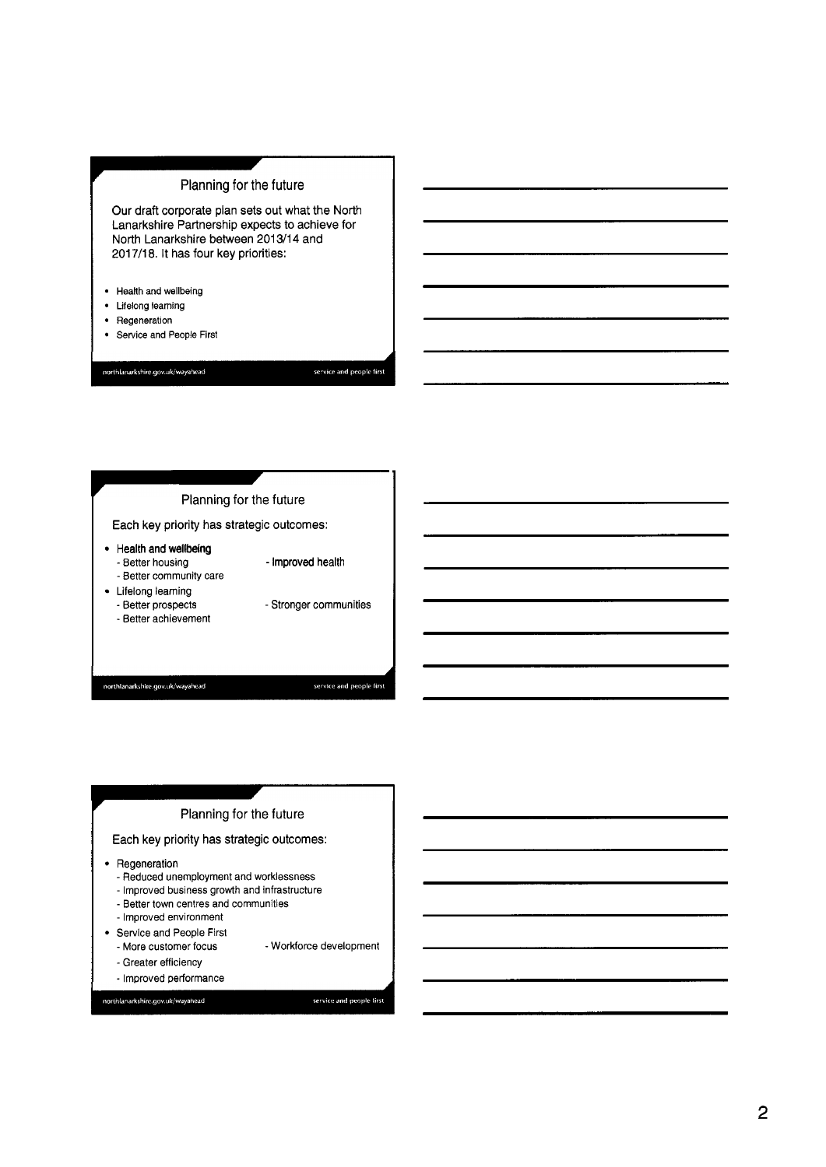# Planning for the future

Our draft corporate plan sets out what the North Lanarkshire Partnership expects to achieve for North Lanarkshire between 201 **311 4** and 201 7/18. It has four key priorities:

- Health and wellbeing
- Lifelong learning
- Regeneration
- Service and People First  $\bullet$

northlanarkshire.gov.uk/wayahead

service and people first



#### Planning for the future

Each key priority has strategic outcomes:

- Regeneration
	- Reduced unemployment and worklessness
	- Improved business growth and infrastructure
	- Better town centres and communities
	- Improved environment
- Service and People First
	- More customer focus - Workforce development
	- Greater efficiency

northlanarkshire.gov.uk/wayahead

- ImDroved oerformance

service and people first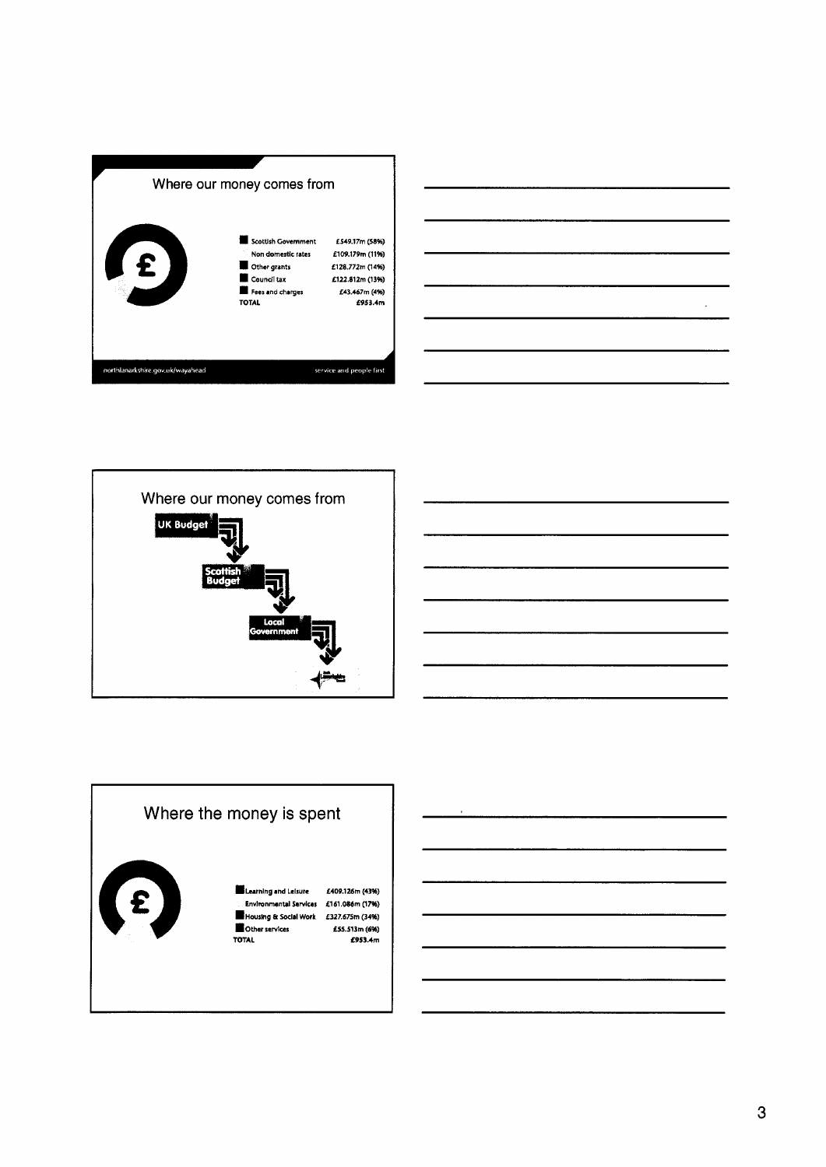





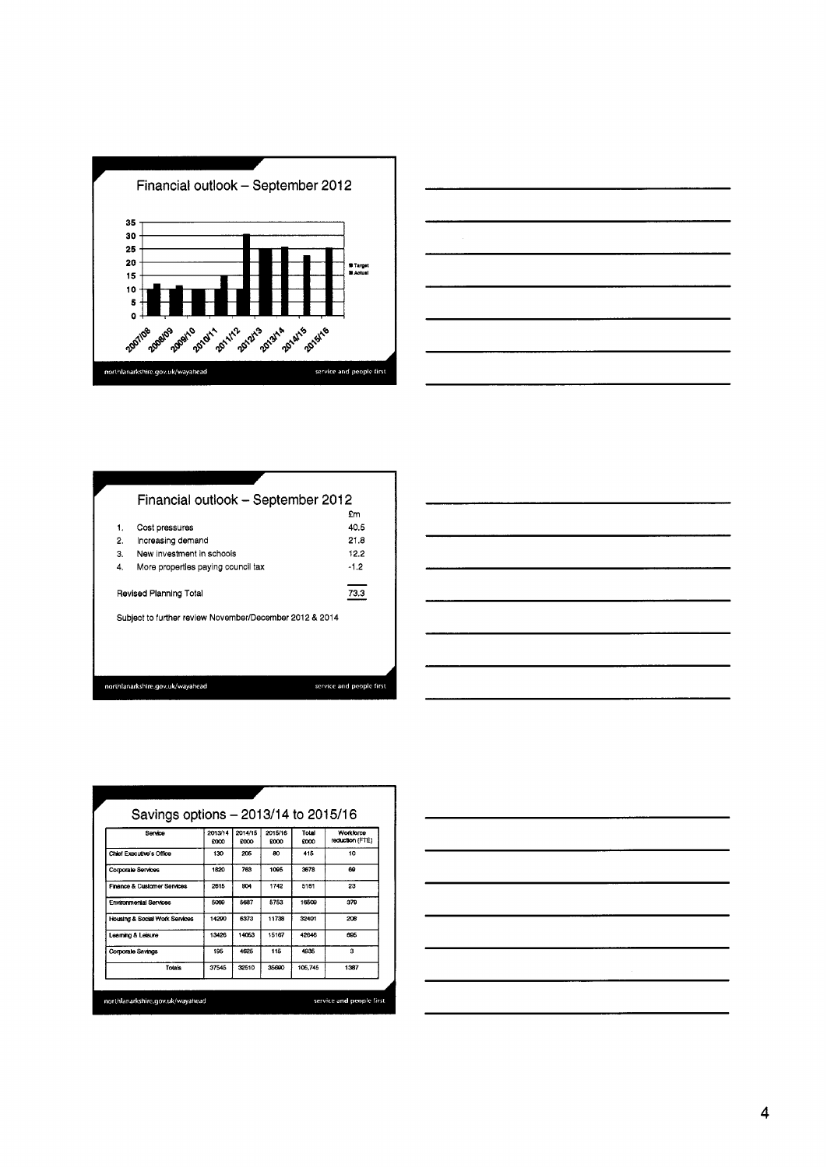







| Service                                | 2013/14<br><b>FOOD</b> | 2014/15<br><b>FOOD</b> | 2015/16<br>moo | Total<br>9000 | Workforce<br>reduction (FTE) |
|----------------------------------------|------------------------|------------------------|----------------|---------------|------------------------------|
| Chief Executive's Office               | 130                    | 205                    | RO.            | 415           | 10                           |
| Corporate Services                     | 1820                   | 763                    | 1095           | 3678          | 69                           |
| <b>Finance &amp; Customer Services</b> | 2615                   | 804                    | 1742           | 5161          | 23                           |
| <b>Environmental Services</b>          | 5009                   | 5687                   | 5753           | 16509         | 379                          |
| Housing & Social Work Services         | 14290                  | 6373                   | 11738          | 32401         | 208                          |
| Learning & Leisure                     | 13426                  | 14053                  | 15167          | 42646         | 695                          |
| Corporate Savings                      | 195                    | 4625                   | 115            | 4935          | 3                            |
| Totals                                 | 37545                  | 32510                  | 35600          | 105,745       | 1387                         |

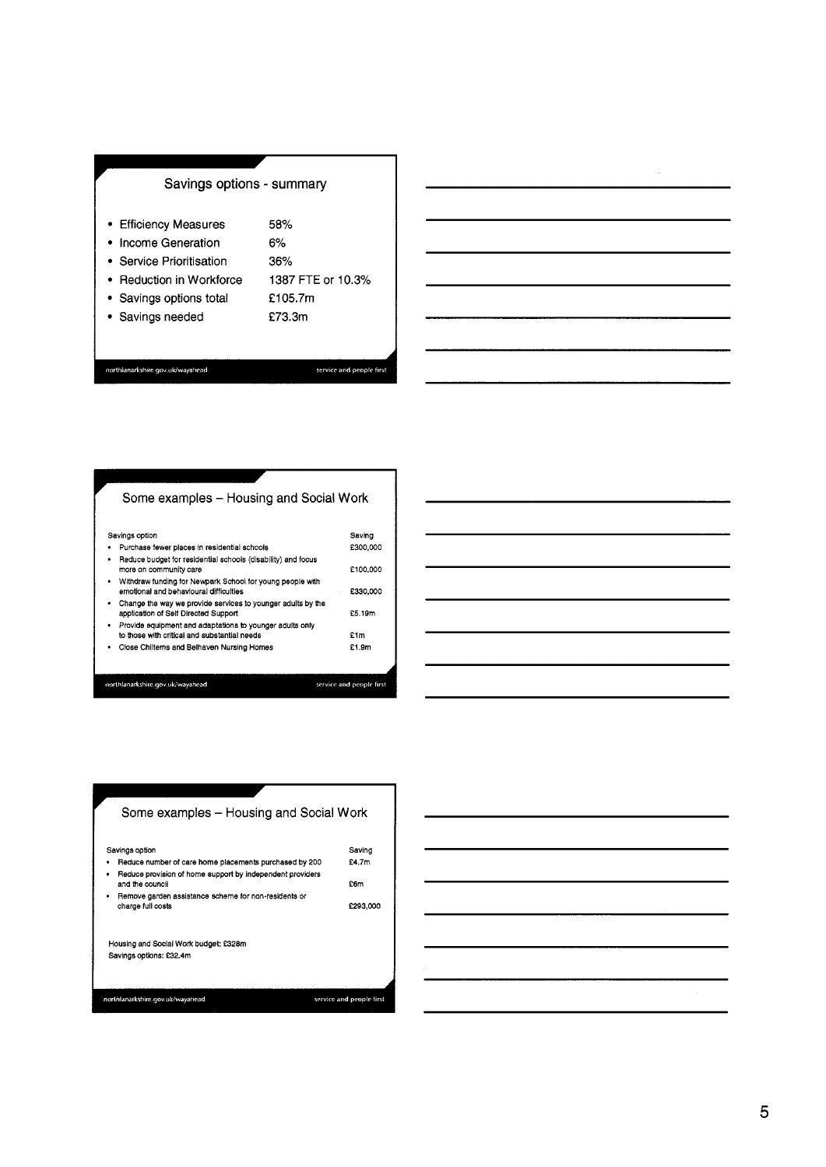# **Savings options - summary**

- Efficiency Measures **58%**
- Income Generation **6%**

Service Prioritisation **36%** 

- Reduction in Workforce **1387** FTE or **10.3%** 
	- **f 105.7~1**
- Savings options total
- Savings needed **f73.3m**

northlanarkshire.gov.uk/wayahead

service and people first

# Some examples - Housing and Social Work

| Savings option                                                                                           | Saving                   |
|----------------------------------------------------------------------------------------------------------|--------------------------|
| Purchase fewer places in residential schools<br>٠                                                        | £300,000                 |
| Reduce budget for residential schools (disability) and focus<br>٠<br>more on community care              | £100,000                 |
| Withdraw funding for Newpark School for young people with<br>٠<br>emotional and behavioural difficulties | £330,000                 |
| Change the way we provide services to younger adults by the<br>٠<br>application of Self Directed Support | £5.19m                   |
| Provide equipment and adaptations to younger adults only<br>٠                                            |                          |
| to those with critical and substantial needs                                                             | £1m                      |
| Close Chilterns and Belhaven Nursing Homes<br>٠                                                          | £1.9m                    |
|                                                                                                          |                          |
| northlanarkshire.gov.uk/wavahead.                                                                        | service and people first |



 $\bar{z}$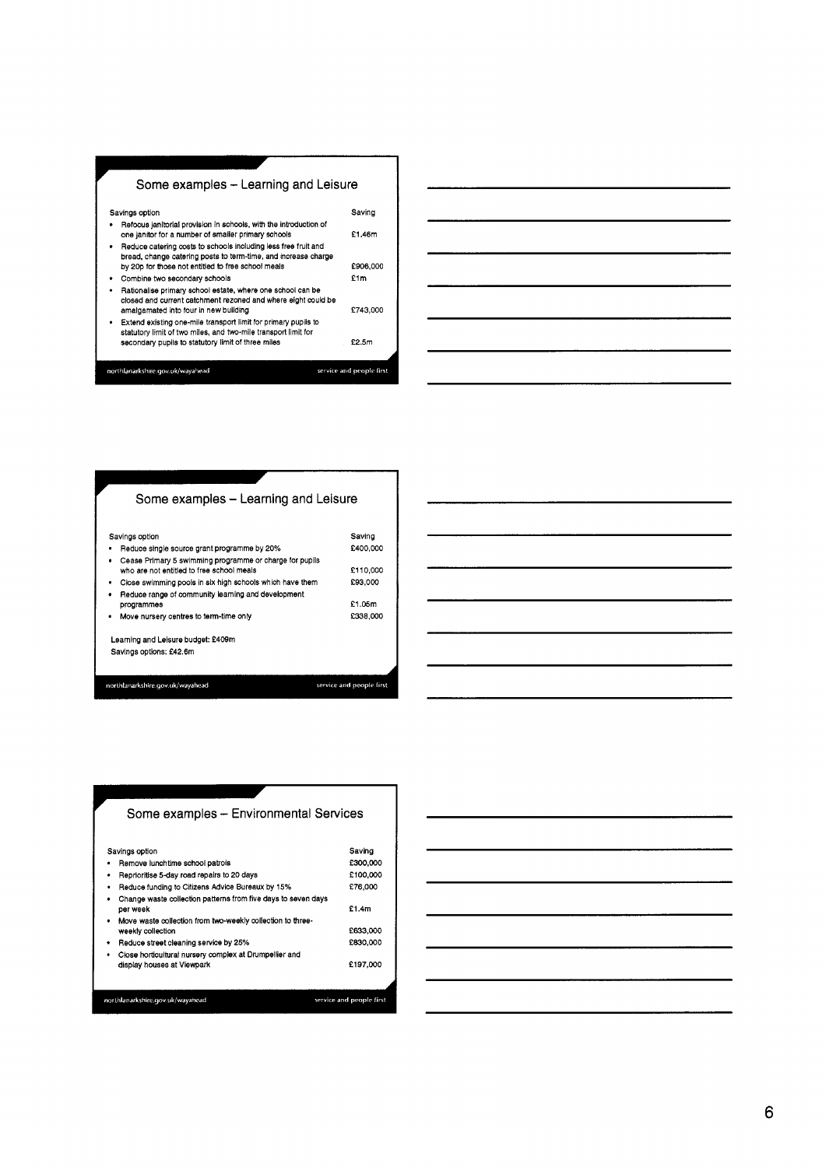



| Some examples – Learning and Leisure                                                                                |                          |
|---------------------------------------------------------------------------------------------------------------------|--------------------------|
| Savings option<br>Reduce single source grant programme by 20%                                                       | Saving<br>£400,000       |
| Cease Primary 5 swimming programme or charge for pupils<br>who are not entitled to free school meals                | £110,000                 |
| Close swimming pools in six high schools which have them<br>٠<br>Reduce range of community learning and development | £93,000                  |
| programmes                                                                                                          | £1.05m                   |
| Move nursery centres to term-time only<br>٠                                                                         | £338,000                 |
| Learning and Leisure budget: £409m                                                                                  |                          |
| Savings options: £42.6m                                                                                             |                          |
| northlanarkshire.gov.uk/wayahead                                                                                    | service and people first |
|                                                                                                                     |                          |



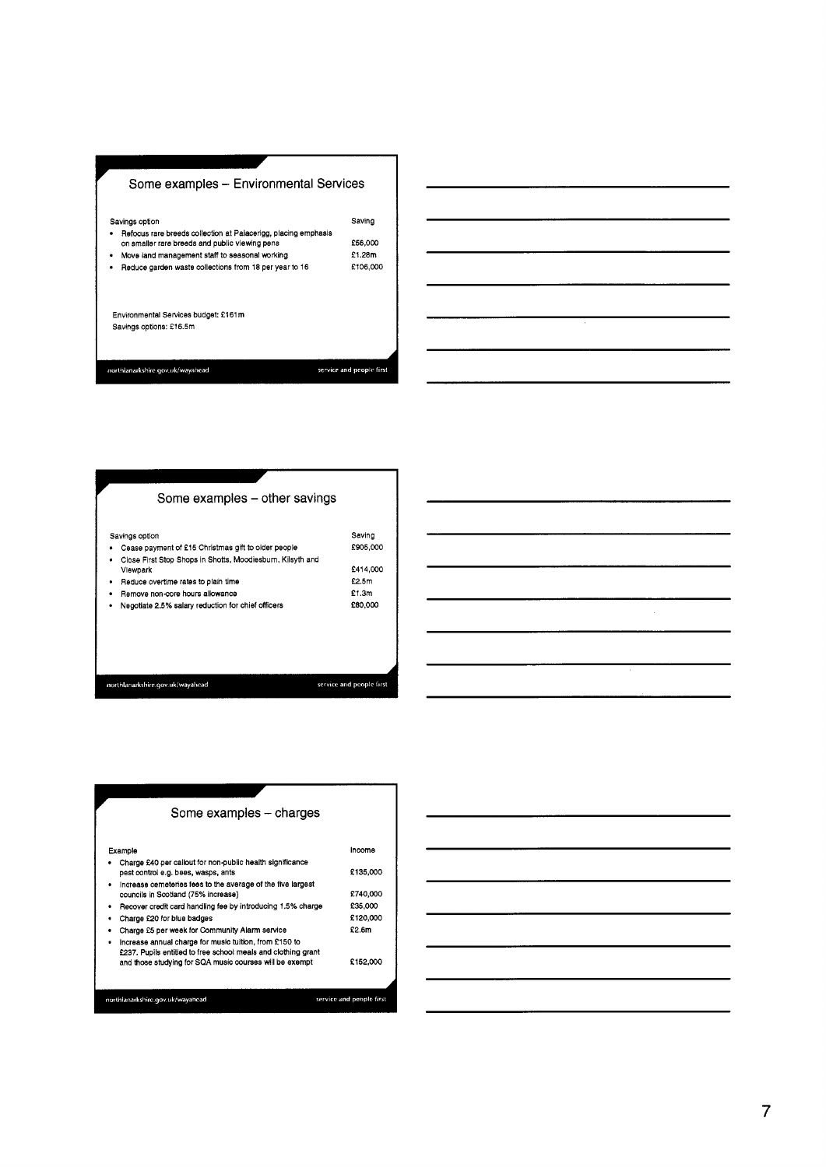